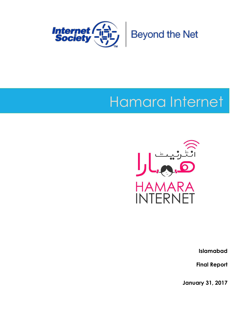

# Hamara Internet



**Islamabad** 

**Final Report**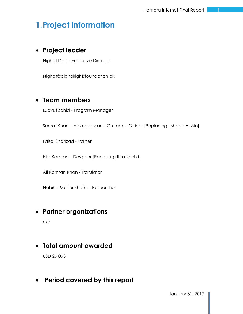## **1.Project information**

## **Project leader**

Nighat Dad - Executive Director

Nighat@digitalrightsfoundation.pk

## **Team members**

Luavut Zahid - Program Manager

Seerat Khan – Advocacy and Outreach Officer [Replacing Ushbah Al-Ain]

Faisal Shahzad - Trainer

Hija Kamran – Designer [Replacing Iffra Khalid]

Ali Kamran Khan - Translator

Nabiha Meher Shaikh - Researcher

## **Partner organizations**

n/a

## **Total amount awarded**

USD 29,093

## **Period covered by this report**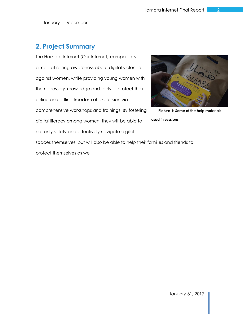## **2. Project Summary**

The Hamara Internet (Our Internet) campaign is aimed at raising awareness about digital violence against women, while providing young women with the necessary knowledge and tools to protect their online and offline freedom of expression via comprehensive workshops and trainings. By fostering digital literacy among women, they will be able to not only safety and effectively navigate digital



**Picture 1: Some of the help materials** 

**used in sessions**

spaces themselves, but will also be able to help their families and friends to protect themselves as well.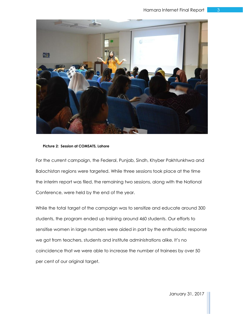

#### **Picture 2: Session at COMSATS, Lahore**

For the current campaign, the Federal, Punjab, Sindh, Khyber Pakhtunkhwa and Balochistan regions were targeted. While three sessions took place at the time the interim report was filed, the remaining two sessions, along with the National Conference, were held by the end of the year.

While the total target of the campaign was to sensitize and educate around 300 students, the program ended up training around 460 students. Our efforts to sensitise women in large numbers were aided in part by the enthusiastic response we got from teachers, students and institute administrations alike. It's no coincidence that we were able to increase the number of trainees by over 50 per cent of our original target.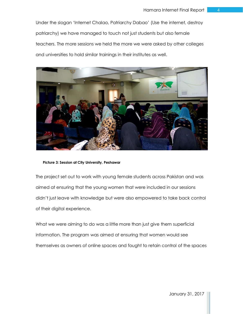Under the slogan 'Internet Chalao, Patriarchy Dabao' (Use the internet, destroy patriarchy) we have managed to touch not just students but also female teachers. The more sessions we held the more we were asked by other colleges and universities to hold similar trainings in their institutes as well.



**Picture 3: Session at City University, Peshawar**

The project set out to work with young female students across Pakistan and was aimed at ensuring that the young women that were included in our sessions didn't just leave with knowledge but were also empowered to take back control of their digital experience.

What we were aiming to do was a little more than just give them superficial information. The program was aimed at ensuring that women would see themselves as owners of online spaces and fought to retain control of the spaces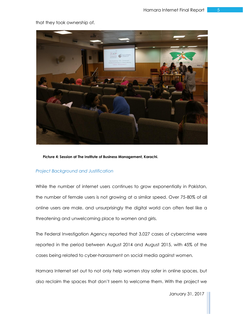

that they took ownership of.

**Picture 4: Session at The Institute of Business Management, Karachi.**

#### *Project Background and Justification*

While the number of internet users continues to grow exponentially in Pakistan, the number of female users is not growing at a similar speed. Over 75-80% of all online users are male, and unsurprisingly the digital world can often feel like a threatening and unwelcoming place to women and girls.

The Federal Investigation Agency reported that 3,027 cases of cybercrime were reported in the period between August 2014 and August 2015, with 45% of the cases being related to cyber-harassment on social media against women.

Hamara Internet set out to not only help women stay safer in online spaces, but also reclaim the spaces that don't seem to welcome them. With the project we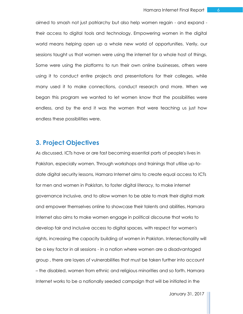aimed to smash not just patriarchy but also help women regain - and expand their access to digital tools and technology. Empowering women in the digital world means helping open up a whole new world of opportunities. Verily, our sessions taught us that women were using the internet for a whole host of things. Some were using the platforms to run their own online businesses, others were using it to conduct entire projects and presentations for their colleges, while many used it to make connections, conduct research and more. When we began this program we wanted to let women know that the possibilities were endless, and by the end it was the women that were teaching us just how endless these possibilities were.

## **3. Project Objectives**

As discussed, ICTs have or are fast becoming essential parts of people's lives in Pakistan, especially women. Through workshops and trainings that utilise up-todate digital security lessons, Hamara Internet aims to create equal access to ICTs for men and women in Pakistan, to foster digital literacy, to make internet governance inclusive, and to allow women to be able to mark their digital mark and empower themselves online to showcase their talents and abilities. Hamara Internet also aims to make women engage in political discourse that works to develop fair and inclusive access to digital spaces, with respect for women's rights, increasing the capacity building of women in Pakistan. Intersectionality will be a key factor in all sessions - in a nation where women are a disadvantaged group , there are layers of vulnerabilities that must be taken further into account – the disabled, women from ethnic and religious minorities and so forth. Hamara Internet works to be a nationally seeded campaign that will be initiated in the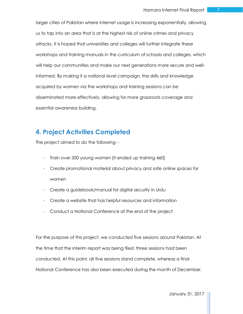larger cities of Pakistan where internet usage is increasing exponentially, allowing us to tap into an area that is at the highest risk of online crimes and privacy attacks. It is hoped that universities and colleges will further integrate these workshops and training manuals in the curriculum of schools and colleges, which will help our communities and make our next generations more secure and wellinformed. By making it a national level campaign, the skills and knowledge acquired by women via the workshops and training sessions can be disseminated more effectively, allowing for more grassroots coverage and essential awareness building.

## **4. Project Activities Completed**

The project aimed to do the following: -

- Train over 300 young women [it ended up training 460]
- Create promotional material about privacy and safe online spaces for women
- Create a guidebook/manual for digital security in Urdu
- Create a website that has helpful resources and information
- Conduct a National Conference at the end of the project

For the purpose of this project, we conducted five sessions around Pakistan. At the time that the interim report was being filed, three sessions had been conducted. At this point, all five sessions stand complete, whereas a final National Conference has also been executed during the month of December.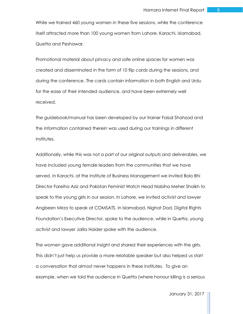While we trained 460 young women in these five sessions, while the conference itself attracted more than 100 young women from Lahore, Karachi, Islamabad, Quetta and Peshawar.

Promotional material about privacy and safe online spaces for women was created and disseminated in the form of 10 flip cards during the sessions, and during the conference. The cards contain information in both English and Urdu for the ease of their intended audience, and have been extremely well received.

The guidebook/manual has been developed by our trainer Faisal Shahzad and the information contained therein was used during our trainings in different institutes.

Additionally, while this was not a part of our original outputs and deliverables, we have included young female leaders from the communities that we have served. In Karachi, at the Institute of Business Management we invited Bolo Bhi Director Fareiha Aziz and Pakistan Feminist Watch Head Nabiha Meher Shaikh to speak to the young girls in our session. In Lahore, we invited activist and lawyer Angbeen Mirza to speak at COMSATS. In Islamabad, Nighat Dad, Digital Rights Foundation's Executive Director, spoke to the audience, while in Quetta, young activist and lawyer Jalila Haider spoke with the audience.

The women gave additional insight and shared their experiences with the girls. This didn't just help us provide a more relatable speaker but also helped us start a conversation that almost never happens in these institutes. To give an example, when we told the audience in Quetta (where honour killing is a serious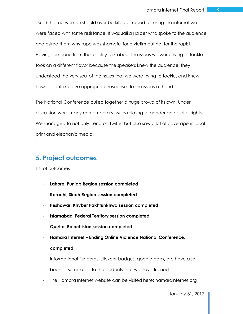issue) that no woman should ever be killed or raped for using the internet we were faced with some resistance. It was Jalila Haider who spoke to the audience and asked them why rape was shameful for a victim but not for the rapist. Having someone from the locality talk about the issues we were trying to tackle took on a different flavor because the speakers knew the audience, they understood the very soul of the issues that we were trying to tackle, and knew how to contextualize appropriate responses to the issues at hand.

The National Conference pulled together a huge crowd of its own. Under discussion were many contemporary issues relating to gender and digital rights. We managed to not only trend on Twitter but also saw a lot of coverage in local print and electronic media.

## **5. Project outcomes**

List of outcomes

- **Lahore, Punjab Region session completed**
- **Karachi, Sindh Region session completed**
- **Peshawar, Khyber Pakhtunkhwa session completed**
- **Islamabad, Federal Territory session completed**
- **Quetta, Balochistan session completed**
- **Hamara Internet – Ending Online Violence National Conference, completed**
- Informational flip cards, stickers, badges, goodie bags, etc have also been disseminated to the students that we have trained
- The Hamara Internet website can be visited here: hamarainternet.org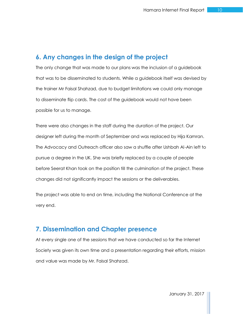### **6. Any changes in the design of the project**

The only change that was made to our plans was the inclusion of a guidebook that was to be disseminated to students. While a guidebook itself was devised by the trainer Mr Faisal Shahzad, due to budget limitations we could only manage to disseminate flip cards. The cost of the guidebook would not have been possible for us to manage.

There were also changes in the staff during the duration of the project. Our designer left during the month of September and was replaced by Hija Kamran. The Advocacy and Outreach officer also saw a shuffle after Ushbah Al-Ain left to pursue a degree in the UK. She was briefly replaced by a couple of people before Seerat Khan took on the position till the culmination of the project. These changes did not significantly impact the sessions or the deliverables.

The project was able to end on time, including the National Conference at the very end.

## **7. Dissemination and Chapter presence**

At every single one of the sessions that we have conducted so far the Internet Society was given its own time and a presentation regarding their efforts, mission and value was made by Mr. Faisal Shahzad.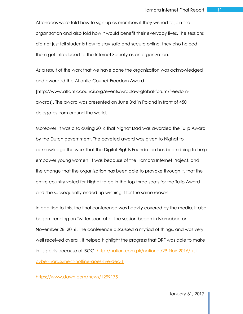Attendees were told how to sign up as members if they wished to join the organization and also told how it would benefit their everyday lives. The sessions did not just tell students how to stay safe and secure online, they also helped them get introduced to the Internet Society as an organization.

As a result of the work that we have done the organization was acknowledged and awarded the Atlantic Council Freedom Award [http://www.atlanticcouncil.org/events/wroclaw-global-forum/freedomawards]. The award was presented on June 3rd in Poland in front of 450 delegates from around the world.

Moreover, it was also during 2016 that Nighat Dad was awarded the Tulip Award by the Dutch government. The coveted award was given to Nighat to acknowledge the work that the Digital Rights Foundation has been doing to help empower young women. It was because of the Hamara Internet Project, and the change that the organization has been able to provoke through it, that the entire country voted for Nighat to be in the top three spots for the Tulip Award – and she subsequently ended up winning it for the same reason.

In addition to this, the final conference was heavily covered by the media. It also began trending on Twitter soon after the session began in Islamabad on November 28, 2016. The conference discussed a myriad of things, and was very well received overall. It helped highlight the progress that DRF was able to make in its goals because of ISOC. [http://nation.com.pk/national/29-Nov-2016/first](http://nation.com.pk/national/29-Nov-2016/first-cyber-harassment-hotline-goes-live-dec-1)[cyber-harassment-hotline-goes-live-dec-1](http://nation.com.pk/national/29-Nov-2016/first-cyber-harassment-hotline-goes-live-dec-1)

#### <https://www.dawn.com/news/1299175>